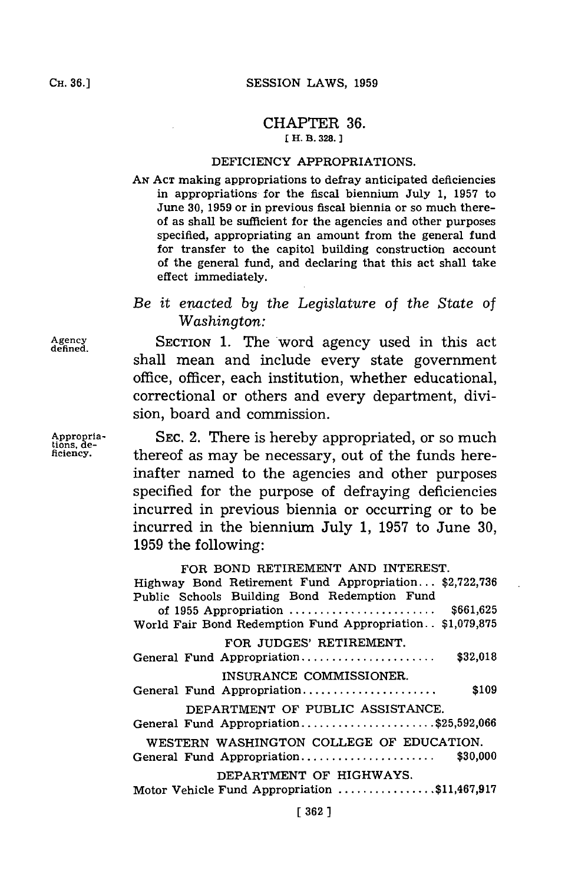#### CHAPTER **36. [ H. B. 328.**

### DEFICIENCY APPROPRIATIONS.

**AN ACT** making appropriations to defray anticipated deficiencies in appropriations for the fiscal biennium July **1, 1957** to June **30, 1959** or in previous fiscal biennia or so much thereof as shall be sufficient for the agencies and other purposes specified, appropriating an amount from the general fund for transfer to the capitol building construction account of the general fund, and declaring that this act shall take effect immediately.

# *Be it enacted by the Legislature of the State of Washington:*

**Agency SECTION 1.** The word agency used in this act shall mean and include every state government office, officer, each institution, whether educational, correctional or others and every department, division, board and commission.

**Appropria- SEC.** 2. There is hereby appropriated, or so much thereof as may be necessary, out of the funds hereinafter named to the agencies and other purposes specified for the purpose of defraying deficiencies incurred in previous biennia or occurring or to be incurred in the biennium July **1, 1957** to June **30, 1959** the following:

> FOR **BOND** RETIREMENT **AND** INTEREST. Highway Bond Retirement Fund Appropriation... **\$2,722,736** Public Schools Building Bond Redemption Fund of **1955** Appropriation **........................ \$661,625** World Fair Bond Redemption Fund Appropriation. **. \$1,079,875** FOR **JUDGES'** RETIREMENT. General Fund Appropriation **...................... \$32,018 INSURANCE** COMMISSIONER. General Fund **Appropriation....................... \$109** DEPARTMENT OF PUBLIC **ASSISTANCE.** General Fund **Appropriation.................... \$25,592,066** WESTERN **WASHINGTON COLLEGE** OF **EDUCATION.** General Fund Appropriation **...................... \$30,000** DEPARTMENT OF HIGHWAYS. Motor Vehicle Fund Appropriation **............... \$11,467,917**

**defined.**

**tions, de-**